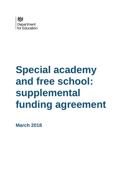

# **Special academy and free school: supplemental funding agreement**

**March 2018**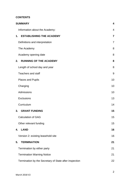## **CONTENTS**

| <b>SUMMARY</b>                                         | $\overline{\mathbf{4}}$ |
|--------------------------------------------------------|-------------------------|
| Information about the Academy:                         | 4                       |
| <b>ESTABLISHING THE ACADEMY</b><br>1.                  | $\overline{7}$          |
| Definitions and interpretation                         | $\overline{7}$          |
| The Academy                                            | 8                       |
| Academy opening date                                   | 8                       |
| <b>RUNNING OF THE ACADEMY</b><br>2.                    | 8                       |
| Length of school day and year                          | 8                       |
| <b>Teachers and staff</b>                              | 9                       |
| <b>Places and Pupils</b>                               | 10                      |
| Charging                                               | 10                      |
| Admissions                                             | 10                      |
| <b>Exclusions</b>                                      | 13                      |
| Curriculum                                             | 14                      |
| <b>GRANT FUNDING</b><br>3.                             | 15                      |
| <b>Calculation of GAG</b>                              | 15                      |
| Other relevant funding                                 | 15                      |
| <b>LAND</b><br>4.                                      | 16                      |
| Version 2: existing leasehold site                     | 16                      |
| <b>TERMINATION</b><br>5.                               | 21                      |
| Termination by either party                            | 21                      |
| <b>Termination Warning Notice</b>                      | 21                      |
| Termination by the Secretary of State after inspection | 22                      |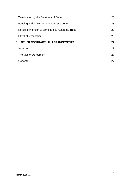| Termination by the Secretary of State             | 23 |
|---------------------------------------------------|----|
| Funding and admission during notice period        | 23 |
| Notice of intention to terminate by Academy Trust | 23 |
| Effect of termination                             | 26 |
|                                                   |    |
| 6.<br>OTHER CONTRACTUAL ARRANGEMENTS              | 27 |
| Annexes                                           | 27 |
| The Master Agreement                              | 27 |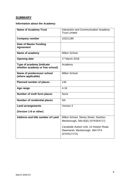# <span id="page-3-0"></span>**SUMMARY**

# <span id="page-3-1"></span>**Information about the Academy:**

| <b>Name of Academy Trust</b>                                 | Interaction and Communication Academy<br><b>Trust Limited</b>                          |
|--------------------------------------------------------------|----------------------------------------------------------------------------------------|
| <b>Company number</b>                                        | 10221189                                                                               |
| <b>Date of Master Funding</b><br><b>Agreement</b>            |                                                                                        |
| Name of academy                                              | <b>Milton School</b>                                                                   |
| <b>Opening date</b>                                          | 1 <sup>st</sup> March 2018                                                             |
| Type of academy (indicate<br>whether academy or free school) | Academy                                                                                |
| Name of predecessor school<br>(where applicable)             | <b>Milton School</b>                                                                   |
| <b>Planned number of places</b>                              | 140                                                                                    |
| Age range                                                    | $4 - 16$                                                                               |
| <b>Number of sixth form places</b>                           | <b>None</b>                                                                            |
| <b>Number of residential places</b>                          | <b>NA</b>                                                                              |
| <b>Land arrangements</b>                                     | Version 2                                                                              |
| (Version 1-8 or other)                                       |                                                                                        |
| Address and title number of Land                             | Milton School, Storey Street, Swinton,<br>Mexborough, S64 8QG (SYK554717)              |
|                                                              | Canalside Autism Unit, 14 Hooton Road,<br>Rawmarsh, Mexborough, S64 5TA<br>(SYK517172) |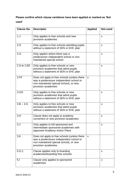# **Please confirm which clause variations have been applied or marked as 'Not used'**

| <b>Clause No.</b> | <b>Descriptor</b>                                                                                                                                        | <b>Applied</b>            | Not used |
|-------------------|----------------------------------------------------------------------------------------------------------------------------------------------------------|---------------------------|----------|
| 1. J              | Only applies to free schools and new<br>provision academies                                                                                              |                           | X        |
| 2.D               | Only applies to free schools admitting pupils<br>without a statement of SEN or EHC plan                                                                  |                           | X        |
| 2.G               | Only applies where there was a<br>predecessor independent school or non-<br>maintained special school                                                    |                           | X        |
| 2.S to 2.EE       | Only applies to free schools or new<br>provision academies that admit pupils<br>without a statement of SEN or EHC plan                                   |                           | X        |
| 2.FF              | Does not apply to free schools (unless there<br>was a predecessor independent school or<br>non-maintained special school), or new<br>provision academies | $\boldsymbol{\mathsf{X}}$ |          |
| 2.GG              | Only applies to free schools or new<br>provision academies that admit pupils<br>without a statement of SEN or EHC plan                                   |                           | X        |
| $3.B - 3.G$       | Only applies to free schools or new<br>provision academies that admit pupils<br>without a statement of SEN or EHC plan                                   |                           | X        |
| 3.H               | Clause does not apply to academy<br>converters or new provision academies                                                                                |                           | X        |
| 3. J              | Only applies to full sponsored and<br>intermediate sponsored academies with<br>approved Academy Action Plans                                             |                           | X        |
| 3.K               | Does not apply to free schools (unless there<br>was a predecessor independent school or<br>non-maintained special school), or new<br>provision academies | $\boldsymbol{\mathsf{X}}$ |          |
| 5.G.1             | Clause applies only to boarding<br>academies/boarding free schools                                                                                       |                           | X        |
| 5.1               | Clause only applies to sponsored<br>academies                                                                                                            |                           | X        |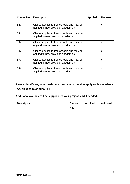| <b>Clause No.</b> | <b>Descriptor</b>                                                               | <b>Applied</b> | <b>Not used</b> |
|-------------------|---------------------------------------------------------------------------------|----------------|-----------------|
| 5.K               | Clause applies to free schools and may be<br>applied to new provision academies |                | X               |
| 5.L               | Clause applies to free schools and may be<br>applied to new provision academies |                | X               |
| 5.M               | Clause applies to free schools and may be<br>applied to new provision academies |                | X               |
| 5.N               | Clause applies to free schools and may be<br>applied to new provision academies |                | X               |
| 5.0               | Clause applies to free schools and may be<br>applied to new provision academies |                | X               |
| 5.P               | Clause applies to free schools and may be<br>applied to new provision academies |                | X               |

**Please identify any other variations from the model that apply to this academy (e.g. clauses relating to PFI):**

**Additional clauses will be supplied by your project lead if needed.**

| <b>Descriptor</b> | <b>Clause</b> | <b>Applied</b> | Not used |
|-------------------|---------------|----------------|----------|
|                   | No.           |                |          |
|                   |               |                |          |
|                   |               |                |          |
|                   |               |                |          |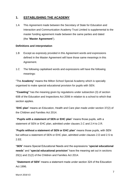# <span id="page-6-0"></span>**1. ESTABLISHING THE ACADEMY**

1.A This Agreement made between the Secretary of State for Education and Interaction and Communication Academy Trust Limited is supplemental to the master funding agreement made between the same parties and dated (the "**Master Agreement**").

#### <span id="page-6-1"></span>**Definitions and interpretation**

- 1.B Except as expressly provided in this Agreement words and expressions defined in the Master Agreement will have those same meanings in this Agreement.
- 1.C The following capitalised words and expressions will have the following meanings:

"The **Academy**" means the Milton School Special Academy which is specially organised to make special educational provision for pupils with SEN.

**"Coasting"** has the meaning given by regulations under subsection (3) of section 60B of the Education and Inspections Act 2006 in relation to a school to which that section applies.

"**EHC plan**" means an Education, Health and Care plan made under section 37(2) of the Children and Families Act 2014.

"**Pupils with a statement of SEN or EHC plan**" means those pupils, with a statement of SEN or EHC plan, admitted under clauses 2.C and 2.H to 2.R.

"**Pupils without a statement of SEN or EHC plan**" means those pupils, with SEN but without a statement of SEN or EHC plan, admitted under clauses 2.D and 2.S to 2.EE.

"**SEN**" means Special Educational Needs and the expressions "**special educational needs**" and "**special educational provision**" have the meaning set out in sections 20(1) and 21(2) of the Children and Families Act 2014.

"**Statement of SEN**" means a statement made under section 324 of the Education Act 1996.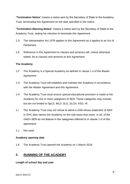"**Termination Notice**" means a notice sent by the Secretary of State to the Academy Trust, terminating this Agreement on the date specified in the notice.

"**Termination Warning Notice**" means a notice sent by the Secretary of State to the Academy Trust, stating his intention to terminate this Agreement.

- 1.D The Interpretation Act 1978 applies to this Agreement as it applies to an Act of Parliament.
- 1.E Reference in this Agreement to clauses and annexes will, unless otherwise stated, be to clauses and annexes to this Agreement.

#### <span id="page-7-0"></span>**The Academy**

- 1.F The Academy is a Special Academy as defined in clause 1.4 of the Master Agreement.
- 1.G The Academy Trust will establish and maintain the Academy in accordance with the Master Agreement and this Agreement.
- 1.H The Academy Trust must ensure special educational provision is made at the Academy for one or more categories of SEN. These categories may include, but are not limited to SpLD, MLD, SLD, SLCN, ASD, HI.
- 1.I The Academy Trust may not refuse to admit a child whose statement of SEN or EHC plan names the Academy on the sole basis that some, or all, of the child's SEN do not feature in the categories referred to in clause 1.H of this agreement.
- 1.J Not used

#### <span id="page-7-1"></span>**Academy opening date**

1.K The Academy Trust opened the Academy on 1 March 2018.

# <span id="page-7-2"></span>**2. RUNNING OF THE ACADEMY**

#### <span id="page-7-3"></span>**Length of school day and year**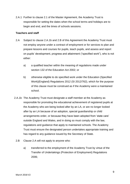2.A.1 Further to clause 2.1 of the Master Agreement, the Academy Trust is responsible for setting the dates when the school terms and holidays are to begin and end, and the times of schools sessions.

#### <span id="page-8-0"></span>**Teachers and staff**

- 2.A Subject to clause 2.A.1b and 2.B of this Agreement the Academy Trust must not employ anyone under a contract of employment or for services to plan and prepare lessons and courses for pupils, teach pupils, and assess and report on pupils' development, progress and attainment ("specified work"), who is not either:
	- a) a qualified teacher within the meaning of regulations made under section 132 of the Education Act 2002; or
	- b) otherwise eligible to do specified work under the Education (Specified Work)(England) Regulations 2012 (SI 2012/762), which for the purpose of this clause must be construed as if the Academy were a maintained school.
- 2.A.1b The Academy Trust must designate a staff member at the Academy as responsible for promoting the educational achievement of registered pupils at the Academy who are being looked after by an LA, or are no longer looked after by an LA because of an adoption, special guardianship or child arrangements order, or because they have been adopted from 'state care' outside England and Wales, and in doing so must comply with the law, regulations and guidance that apply to maintained schools. The Academy Trust must ensure the designated person undertakes appropriate training and has regard to any guidance issued by the Secretary of State.
	- 2.B Clause 2.A will not apply to anyone who:
		- a) transferred to the employment of the Academy Trust by virtue of the Transfer of Undertakings (Protection of Employment) Regulations 2006;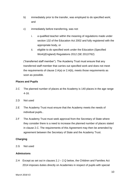- b) immediately prior to the transfer, was employed to do specified work; and
- c) immediately before transferring, was not:
	- i. a qualified teacher within the meaning of regulations made under section 132 of the Education Act 2002 and fully registered with the appropriate body, or
	- ii. eligible to do specified work under the Education (Specified Work)(England) Regulations 2012 (SE 2012/762)

("transferred staff member"). The Academy Trust must ensure that any transferred staff member that carries out specified work and does not meet the requirements of clause 2.A(a) or 2.A(b), meets those requirements as soon as possible.

#### <span id="page-9-0"></span>**Places and Pupils**

- 2.C The planned number of places at the Academy is 140 places in the age range 4-16.
- 2.D Not used
- 2.E The Academy Trust must ensure that the Academy meets the needs of individual pupils..
- 2.F The Academy Trust must seek approval from the Secretary of State where they consider there is a need to increase the planned number of places stated in clause 2.C. The requirements of this Agreement may then be amended by agreement between the Secretary of State and the Academy Trust.

#### <span id="page-9-1"></span>**Charging**

2.G Not used

#### <span id="page-9-2"></span>**Admissions**

2.H Except as set out in clauses 2.J – 2.Q below, the Children and Families Act 2014 imposes duties directly on Academies in respect of pupils with special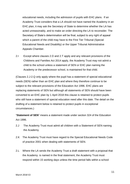educational needs, including the admission of pupils with EHC plans. If an Academy Trust considers that a LA should not have named the Academy in an EHC plan, it may ask the Secretary of State to determine whether the LA has acted unreasonably, and to make an order directing the LA to reconsider. The Secretary of State's determination will be final, subject to any right of appeal which a parent of the child may have to the First Tier Tribunal (Special Educational Needs and Disability) or the Upper Tribunal Administrative Appeals Chamber.

2.I Except where clauses 2.D and 2.T apply and any relevant provisions of the Childrens and Families Act 2014 apply, the Academy Trust may not admit a child to the school unless a statement of SEN or EHC plan naming the Academy or the predecessor school, is maintained for that child.

(Clauses 2.J-2.Q only apply where the pupil has a statement of special educational needs (SEN) rather than an EHC plan and where they therefore continue to be subject to the relevant provisions of the Education Act 1996. EHC plans are replacing statements of SEN but although all statements of SEN should have been converted to an EHC plan by 1 April 2018 this clause is retained to protect pupils who still have a statement of special education need after this date. The detail on the drafting of a statement below is retained to protect pupils in exceptional circumstances.)

"**Statement of SEN**" means a statement made under section 324 of the Education Act 1996.

- 2.J The Academy Trust must admit all children with a Statement of SEN naming the Academy.
- 2.K The Academy Trust must have regard to the Special Educational Needs Code of practice 2001 when dealing with statements of SEN.
- 2.L Where the LA sends the Academy Trust a draft statement with a proposal that the Academy is named in the final statement, the Academy Trust must respond within 15 working days unless the time period falls within a school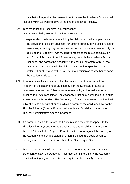holiday that is longer than two weeks in which case the Academy Trust should respond within 15 working days of the end of the school holiday.

- 2.M In its response the Academy Trust must either:
	- a. consent to being named in the final statement or
	- b. explain why it believes that admitting the child would be incompatible with the provision of efficient education for other children and the efficient use of resources, including why no reasonable steps could secure compatibility. In doing so the Academy Trust must have regard to the relevant legislation and Code of Practice. If the LA does not agree with the Academy Trust's response, and names the Academy in the child's Statement of SEN, the Academy Trust must admit the child to the school as specified in the statement or otherwise by the LA. The final decision as to whether to name the Academy falls to the LA.
- 2.N If the Academy Trust considers that the LA should not have named the Academy in the statement of SEN, it may ask the Secretary of State to determine whether the LA has acted unreasonably, and to make an order directing the LA to reconsider. The Academy Trust must admit the pupil if such a determination is pending. The Secretary of State's determination will be final, subject only to any right of appeal which a parent of the child may have to the First-tier Tribunal (Special Educational Needs and Disability) or the Upper Tribunal Administrative Appeals Chamber.
- 2.O If a parent of a child for whom the LA maintains a statement appeals to the First-tier Tribunal (Special Educational Needs and Disability) or the Upper Tribunal Administrative Appeals Chamber, either for or against the naming of the Academy in the child's statement, then the Tribunal's decision will be binding, even if it is different from that of the Secretary of State.
- 2.P Where it has been finally determined that the Academy be named in a child's Statement of SEN, the Academy Trust must admit the child to the Academy, notwithstanding any other admissions requirements in this Agreement.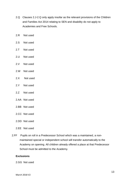- 2.Q Clauses 2.J-2.Q only apply insofar as the relevant provisions of the Children and Families Act 2014 relating to SEN and disability do not apply to Academies and Free Schools.
- 2.R Not used
- 2.S Not used
- 2.T Not used
- 2.U Not used
- 2.V Not used
- 2.W Not used
- 2.X Not used
- 2.Y Not used
- 2.Z Not used
- 2.AA Not used
- 2.BB Not used
- 2.CC Not used
- 2.DD Not used
- 2.EE Not used
- 2.FF Pupils on roll in a Predecessor School which was a maintained, a nonmaintained special or independent school will transfer automatically to the Academy on opening. All children already offered a place at that Predecessor School must be admitted to the Academy.

#### <span id="page-12-0"></span>**Exclusions**

2.GG Not used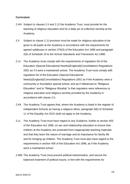#### <span id="page-13-0"></span>**Curriculum**

- 2.HH Subject to clauses 2.II and 2.JJ the Academy Trust, must provide for the teaching of religious education and for a daily act of collective worship at the Academy.
- 2.II Subject to clause 2.JJ provision must be made for religious education to be given to all pupils at the Academy in accordance with the requirements for agreed syllabuses in section 375(3) of the Education Act 1996 and paragraph 2(5) of Schedule 19 to the School Standards and Framework Act 1998.
- 2.JJ The Academy must comply with the requirements of regulation 5A of the Education (Special Educational Needs)(England)(Consolidation) Regulations 2001 as if it were a maintained school. The Academy Trust must comply with regulation 5A of the Education (Special Educational Needs)(England)(Consolidation) Regulations 2001 as if the Academy were a community or foundation special school, and as if references to "Religious Education" and to "Religious Worship" in that regulation were references to religious education and religious worship provided by the Academy in accordance with clause 2.II.
- 2.KK The Academy Trust agrees that, where the Academy is listed in the register of Independent Schools as having a religious ethos, paragraph 5(b) of Schedule 11 of the Equality Act 2010 shall not apply to the Academy.
- 2.LL The Academy Trust must have regard to any Guidance, further to section 403 of the Education Act 1996, on sex and relationship education to ensure that children at the Academy are protected from inappropriate teaching materials and that they learn the nature of marriage and its importance for family life and for bringing up children. The Academy Trust must also have regard to the requirements in section 405 of the Education Act 1996, as if the Academy were a maintained school.
- 2.MM The Academy Trust must prevent political indoctrination, and secure the balanced treatment of political issues, in line with the requirements for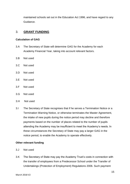maintained schools set out in the Education Act 1996, and have regard to any Guidance.

## <span id="page-14-0"></span>3. **GRANT FUNDING**

#### <span id="page-14-1"></span>**Calculation of GAG**

- 3.A The Secretary of State will determine GAG for the Academy for each Academy Financial Year, taking into account relevant factors.
- 3.B Not used
- 3.C Not used
- 3.D Not used
- 3.E Not used
- 3.F Not used
- 3.G Not used
- 3.H Not used
- 3.I The Secretary of State recognises that if he serves a Termination Notice or a Termination Warning Notice, or otherwise terminates the Master Agreement, the intake of new pupils during the notice period may decline and therefore payments based on the number of places related to the number of pupils attending the Academy may be insufficient to meet the Academy's needs. In these circumstances the Secretary of State may pay a larger GAG in the notice period, to enable the Academy to operate effectively.

#### <span id="page-14-2"></span>**Other relevant funding**

- 3.J Not used
- 3.K The Secretary of State may pay the Academy Trust's costs in connection with the transfer of employees from a Predecessor School under the Transfer of Undertakings (Protection of Employment) Regulations 2006. Such payment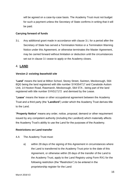will be agreed on a case-by-case basis. The Academy Trust must not budget for such a payment unless the Secretary of State confirms in writing that it will be paid.

#### **Carrying forward of funds**

3.L Any additional grant made in accordance with clause 3.I, for a period after the Secretary of State has served a Termination Notice or a Termination Warning Notice under this Agreement, or otherwise terminates the Master Agreement, may be carried forward without limitation or deduction until the circumstances set out in clause 3.I cease to apply or the Academy closes.

# <span id="page-15-0"></span>4. **LAND**

### <span id="page-15-1"></span>*Version 2: existing leasehold site*

"**Land**" means the land at Milton School, Storey Street, Swinton, Mexborough, S64 8QG being the land registered with title number SYK554717 and Canalside Autism Unit, 14 Hooton Road, Rawmarsh, Mexborough, S64 5TA , being part of the land registered with title number SYK517172 and demised by the Lease.

"**Lease**" means the lease or other occupational agreement between the Academy Trust and a third party (the "**Landlord**") under which the Academy Trust derives title to the Land.

"**Property Notice**" means any order, notice, proposal, demand or other requirement issued by any competent authority (including the Landlord) which materially affects the Academy Trust's ability to use the Land for the purposes of the Academy.

#### **Restrictions on Land transfer**

4.A The Academy Trust must:

a) within 28 days of the signing of this Agreement in circumstances where the Land is transferred to the Academy Trust prior to the date of this Agreement, or otherwise within 28 days of the transfer of the Land to the Academy Trust, apply to the Land Registry using Form RX1 for the following restriction (the "Restriction") to be entered in the proprietorship register for the Land: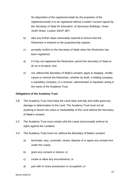*No disposition of the registered estate by the proprietor of the registered estate is to be registered without a written consent signed by the Secretary of State for Education, of Sanctuary Buildings, Great Smith Street, London SW1P 3BT;*

- b) take any further steps reasonably required to ensure that the Restriction is entered on the proprietorship register;
- c) promptly confirm to the Secretary of State when the Restriction has been registered;
- d) if it has not registered the Restriction, permit the Secretary of State to do so in its place; and
- e) not, without the Secretary of State's consent, apply to disapply, modify, cancel or remove the Restriction, whether by itself, a holding company, a subsidiary company, or a receiver, administrator or liquidator acting in the name of the Academy Trust.

#### **Obligations of the Academy Trust**

- 4.B The Academy Trust must keep the Land clean and tidy and make good any damage or deterioration to the Land. The Academy Trust must not do anything to lessen the value or marketability of the Land without the Secretary of State's consent.
- 4.C The Academy Trust must comply with the Lease and promptly enforce its rights against the Landlord.
- 4.D The Academy Trust must not, without the Secretary of State's consent:
	- a) terminate, vary, surrender, renew, dispose of or agree any revised rent under the Lease;
	- b) grant any consent or licence; or
	- c) create or allow any encumbrance; or
	- d) part with or share possession or occupation; or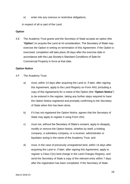e) enter into any onerous or restrictive obligations,

in respect of all or part of the Land.

#### **Option**

4.E The Academy Trust grants and the Secretary of State accepts an option (the "**Option**") to acquire the Land at nil consideration. The Secretary of State may exercise the Option in writing on termination of this Agreement. If the Option is exercised, completion will take place 28 days after the exercise date in accordance with the Law Society's Standard Conditions of Sale for Commercial Property in force at that date.

#### **Option Notice**

- 4.F The Academy Trust:
	- a) must, within 14 days after acquiring the Land or, if later, after signing this Agreement, apply to the Land Registry on Form AN1 (including a copy of this Agreement) for a notice of the Option (the "**Option Notice**") to be entered in the register, taking any further steps required to have the Option Notice registered and promptly confirming to the Secretary of State when this has been done;
	- b) if it has not registered the Option Notice, agrees that the Secretary of State may apply to register it using Form UN1;
	- c) must not, without the Secretary of State's consent, apply to disapply, modify or remove the Option Notice, whether by itself, a holding company, a subsidiary company, or a receiver, administrator or liquidator acting in the name of the Academy Trust, and
	- d) must, in the case of previously unregistered land, within 14 days after acquiring the Land or, if later, after signing this Agreement, apply to register a Class C(iv) land charge in the Land Charges Registry, and send the Secretary of State a copy of the relevant entry within 7 days after the registration has been completed. If the Secretary of State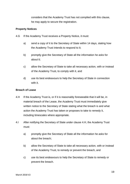considers that the Academy Trust has not complied with this clause, he may apply to secure the registration.

#### **Property Notices**

- 4.G If the Academy Trust receives a Property Notice, it must:
	- a) send a copy of it to the Secretary of State within 14 days, stating how the Academy Trust intends to respond to it;
	- b) promptly give the Secretary of State all the information he asks for about it;
	- c) allow the Secretary of State to take all necessary action, with or instead of the Academy Trust, to comply with it, and
	- d) use its best endeavours to help the Secretary of State in connection with it.

#### **Breach of Lease**

- 4.H If the Academy Trust is, or if it is reasonably foreseeable that it will be, in material breach of the Lease, the Academy Trust must immediately give written notice to the Secretary of State stating what the breach is and what action the Academy Trust has taken or proposes to take to remedy it, including timescales where appropriate.
- 4.I After notifying the Secretary of State under clause 4.H, the Academy Trust must:
	- a) promptly give the Secretary of State all the information he asks for about the breach;
	- b) allow the Secretary of State to take all necessary action, with or instead of the Academy Trust, to remedy or prevent the breach, and
	- c) use its best endeavours to help the Secretary of State to remedy or prevent the breach.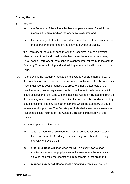#### **Sharing the Land**

- 4.J Where:
	- a) the Secretary of State identifies basic or parental need for additional places in the area in which the Academy is situated and
	- b) the Secretary of State then considers that not all the Land is needed for the operation of the Academy at planned number of places,

the Secretary of State must consult with the Academy Trust to determine whether part of the Land could be demised or sublet to another Academy Trust, as the Secretary of State considers appropriate, for the purpose of that Academy Trust establishing and maintaining an educational institution on the Land.

- 4.K To the extent the Academy Trust and the Secretary of State agree to part of the Land being demised or sublet in accordance with clause 4.J, the Academy Trust must use its best endeavours to procure either the approval of the Landlord or any necessary amendments to the Lease in order to enable it to share occupation of the Land with the incoming Academy Trust and to provide the incoming Academy trust with security of tenure over the Land occupied by it, and shall enter into any legal arrangements which the Secretary of State requires for this purpose. The Secretary of State shall meet the necessary and reasonable costs incurred by the Academy Trust in connection with this clause.
- 4.L For the purposes of clause 4.J:
	- a) a **basic need** will arise when the forecast demand for pupil places in the area where the Academy is situated is greater than the existing capacity to provide them;
	- b) a **parental need** will arise when the DfE is actually aware of an additional demand for pupil places in the area where the Academy is situated, following representations from parents in that area; and
	- c) **planned number of places** has the meaning given in clause 2.C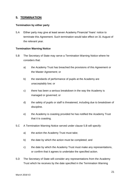# <span id="page-20-0"></span>**5. TERMINATION**

#### <span id="page-20-1"></span>**Termination by either party**

5.A Either party may give at least seven Academy Financial Years' notice to terminate this Agreement. Such termination would take effect on 31 August of the relevant year.

#### <span id="page-20-2"></span>**Termination Warning Notice**

- 5.B The Secretary of State may serve a Termination Warning Notice where he considers that:
	- a) the Academy Trust has breached the provisions of this Agreement or the Master Agreement; or
	- b) the standards of performance of pupils at the Academy are unacceptably low; or
	- c) there has been a serious breakdown in the way the Academy is managed or governed; or
	- d) the safety of pupils or staff is threatened, including due to breakdown of discipline.
	- e) the Academy is coasting provided he has notified the Academy Trust that it is coasting.
- 5.C A Termination Warning Notice served under clause 5.B will specify:
	- a) the action the Academy Trust must take;
	- b) the date by which the action must be completed; and
	- c) the date by which the Academy Trust must make any representations, or confirm that it agrees to undertake the specified action.
- 5.D The Secretary of State will consider any representations from the Academy Trust which he receives by the date specified in the Termination Warning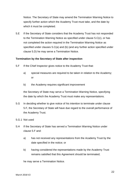Notice. The Secretary of State may amend the Termination Warning Notice to specify further action which the Academy Trust must take, and the date by which it must be completed.

5.E If the Secretary of State considers that the Academy Trust has not responded to the Termination Warning Notice as specified under clause 5.C(c), or has not completed the action required in the Termination Warning Notice as specified under clauses 5.C(a) and (b) (and any further action specified under clause 5.D) he may serve a Termination Notice.

#### <span id="page-21-0"></span>**Termination by the Secretary of State after inspection**

- 5.F If the Chief Inspector gives notice to the Academy Trust that:
	- a) special measures are required to be taken in relation to the Academy; or
	- b) the Academy requires significant improvement

the Secretary of State may serve a Termination Warning Notice, specifying the date by which the Academy Trust must make any representations.

- 5.G In deciding whether to give notice of his intention to terminate under clause 5.F, the Secretary of State will have due regard to the overall performance of the Academy Trust.
- 5.G.1 Not used
- 5.H If the Secretary of State has served a Termination Warning Notice under clause 5.F and:
	- a) has not received any representations from the Academy Trust by the date specified in the notice; or
	- b) having considered the representations made by the Academy Trust remains satisfied that this Agreement should be terminated;

he may serve a Termination Notice.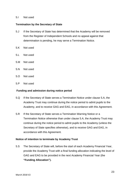#### 5.I Not used

#### <span id="page-22-0"></span>**Termination by the Secretary of State**

- 5.J If the Secretary of State has determined that the Academy will be removed from the Register of Independent Schools and no appeal against that determination is pending, he may serve a Termination Notice.
- 5.K Not used
- 5.L Not used
- 5.M Not used
- 5.N Not used
- 5.O Not used
- 5.P Not used

#### <span id="page-22-1"></span>**Funding and admission during notice period**

- 5.Q If the Secretary of State serves a Termination Notice under clause 5.A, the Academy Trust may continue during the notice period to admit pupils to the Academy, and to receive GAG and EAG, in accordance with this Agreement.
- 5.R If the Secretary of State serves a Termination Warning Notice or a Termination Notice otherwise than under clause 5.A, the Academy Trust may continue during the notice period to admit pupils to the Academy (unless the Secretary of State specifies otherwise), and to receive GAG and EAG, in accordance with this Agreement.

#### <span id="page-22-2"></span>**Notice of intention to terminate by Academy Trust**

5.S The Secretary of State will, before the start of each Academy Financial Year, provide the Academy Trust with a final funding allocation indicating the level of GAG and EAG to be provided in the next Academy Financial Year (the **"Funding Allocation").**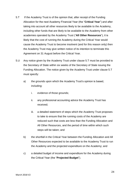- 5.T If the Academy Trust is of the opinion that, after receipt of the Funding Allocation for the next Academy Financial Year (the "**Critical Year**") and after taking into account all other resources likely to be available to the Academy, including other funds that are likely to be available to the Academy from other academies operated by the Academy Trust ("**All Other Resources**"), it is likely that the cost of running the Academy during the Critical Year would cause the Academy Trust to become insolvent (and for this reason only) then the Academy Trust may give written notice of its intention to terminate this Agreement on 31 August before the Critical Year.
- 5.U Any notice given by the Academy Trust under clause 5.T must be provided to the Secretary of State within six weeks of the Secretary of State issuing the Funding Allocation. The notice given by the Academy Trust under clause 5.T must specify:
	- a) the grounds upon which the Academy Trust's opinion is based, including:
		- i. evidence of those grounds;
		- ii. any professional accounting advice the Academy Trust has received;
		- iii. a detailed statement of steps which the Academy Trust proposes to take to ensure that the running costs of the Academy are reduced such that costs are less than the Funding Allocation and All Other Resources, and the period of time within which such steps will be taken; and
	- b) the shortfall in the Critical Year between the Funding Allocation and All Other Resources expected to be available to the Academy Trust to run the Academy and the projected expenditure on the Academy; and
	- c) a detailed budget of income and expenditure for the Academy during the Critical Year (the "**Projected Budget**").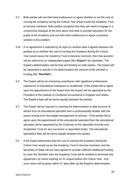- 5.V Both parties will use their best endeavours to agree whether or not the cost of running the Academy during the Critical Year would cause the Academy Trust to become insolvent. Both parties recognise that they will need to engage in a constructive dialogue at the time about how best to provide education for the pupils at the Academy and use their best endeavours to agree a practical solution to the problem.
- 5.W If no agreement is reached by 30 April (or another date if agreed between the parties) as to whether the cost of running the Academy during the Critical Year would cause the Academy Trust to become insolvent, then that question will be referred to an independent expert (the "**Expert**") for resolution. The Expert's determination will be final and binding on both parties. The Expert will be requested to specify in his determination the amount of the shortfall in funding (the "**Shortfall**").
- 5.X The Expert will be an insolvency practitioner with significant professional experience of educational institutions or academies. If the parties fail to agree upon the appointment of the Expert then the Expert will be appointed by the President of the Institute of Chartered Accountants in England and Wales. The Expert's fees will be borne equally between the parties.
- 5.Y The Expert will be required in reaching his determination to take account of advice from an educational specialist who is professionally familiar with the issues arising from the budget management of schools. If the parties fail to agree upon the appointment of the educational specialist then the educational specialist will be appointed by the Chairman of the Specialist Schools and Academies Trust (or any successor or equivalent body). The educational specialist's fees will be borne equally between the parties.
- 5.Z If the Expert determines that the cost of running the Academy during the Critical Year would cause the Academy Trust to become insolvent, and the Secretary of State will not have agreed to provide sufficient additional funding to cover the Shortfall, then the Academy Trust will be entitled to terminate this Agreement, by notice expiring on 31 August before the Critical Year. Any such notice will be given within 21 days after (a) the Expert's determination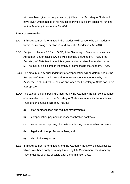will have been given to the parties or (b), if later, the Secretary of State will have given written notice of his refusal to provide sufficient additional funding for the Academy to cover the Shortfall.

#### <span id="page-25-0"></span>**Effect of termination**

- 5.AA If this Agreement is terminated, the Academy will cease to be an Academy within the meaning of sections 1 and 1A of the Academies Act 2010.
- 5.BB Subject to clauses 5.CC and 5.DD, if the Secretary of State terminates this Agreement under clause 5.A, he will indemnify the Academy Trust. If the Secretary of State terminates this Agreement otherwise than under clause 5.A, he may at his discretion indemnify or compensate the Academy Trust.
- 5.CC The amount of any such indemnity or compensation will be determined by the Secretary of State, having regard to representations made to him by the Academy Trust, and will be paid as and when the Secretary of State considers appropriate.
- 5.DD The categories of expenditure incurred by the Academy Trust in consequence of termination, for which the Secretary of State may indemnify the Academy Trust under clauses 5.BB, may include:
	- a) staff compensation and redundancy payments;
	- b) compensation payments in respect of broken contracts;
	- c) expenses of disposing of assets or adapting them for other purposes;
	- d) legal and other professional fees; and
	- e) dissolution expenses.
- 5.EE If this Agreement is terminated, and the Academy Trust owns capital assets which have been partly or wholly funded by HM Government, the Academy Trust must, as soon as possible after the termination date: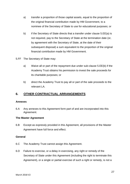- a) transfer a proportion of those capital assets, equal to the proportion of the original financial contribution made by HM Government, to a nominee of the Secretary of State to use for educational purposes; or
- b) if the Secretary of State directs that a transfer under clause 5.EE(a) is not required, pay to the Secretary of State at the termination date (or, by agreement with the Secretary of State, at the date of their subsequent disposal) a sum equivalent to the proportion of the original financial contribution made by HM Government.
- 5.FF The Secretary of State may:
	- a) Waive all or part of the repayment due under sub-clause 5.EE(b) if the Academy Trust obtains his permission to invest the sale proceeds for its charitable purposes; or
	- b) direct the Academy Trust to pay all or part of the sale proceeds to the relevant LA.

# <span id="page-26-0"></span>**6. OTHER CONTRACTUAL ARRANGEMENTS**

#### <span id="page-26-1"></span>**Annexes**

6.A Any annexes to this Agreement form part of and are incorporated into this Agreement.

#### <span id="page-26-2"></span>**The Master Agreement**

6.B Except as expressly provided in this Agreement, all provisions of the Master Agreement have full force and effect.

#### <span id="page-26-3"></span>**General**

- 6.C The Academy Trust cannot assign this Agreement.
- 6.D Failure to exercise, or a delay in exercising, any right or remedy of the Secretary of State under this Agreement (including the right to terminate this Agreement), or a single or partial exercise of such a right or remedy, is not a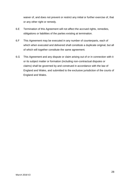waiver of, and does not prevent or restrict any initial or further exercise of, that or any other right or remedy.

- 6.E Termination of this Agreement will not affect the accrued rights, remedies, obligations or liabilities of the parties existing at termination.
- 6.F This Agreement may be executed in any number of counterparts, each of which when executed and delivered shall constitute a duplicate original, but all of which will together constitute the same agreement.
- 6.G This Agreement and any dispute or claim arising out of or in connection with it or its subject matter or formation (including non-contractual disputes or claims) shall be governed by and construed in accordance with the law of England and Wales, and submitted to the exclusive jurisdiction of the courts of England and Wales.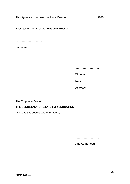Executed on behalf of the **Academy Trust** by:

………………………..

**Director**

………………………………

**Witness**

Name:

Address:

The Corporate Seal of

# **THE SECRETARY OF STATE FOR EDUCATION**

affixed to this deed is authenticated by:

………………………..

**Duly Authorised**